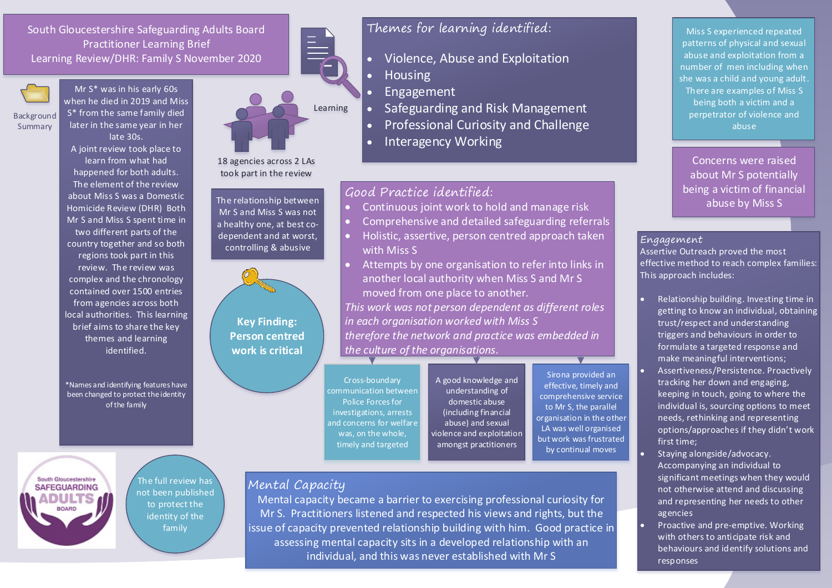South Gloucestershire Safeguarding Adults Board Practitioner Learning Brief Learning Review/DHR: Family S November 2020



**Background** Summary

S\* from the same family died later in the same year in her late 30s. A joint review took place to learn from what had happened for both adults. The element of the review about Miss S was a Domestic Homicide Review (DHR) Both Mr S and Miss S spent time in two different parts of the country together and so both regions took part in this

Mr S\* was in his early 60s when he died in 2019 and Miss

review. The review was complex and the chronology contained over 1500 entries from agencies across both local authorities. This learning brief aims to share the key themes and learning identified.

\*Names and identifying features have been changed to protect the identity of the family



18 agencies across 2 LAs took part in the review

The relationship between Mr S and Miss S was not a healthy one, at best codependent and at worst, controlling & abusive



Cross-boundary communication between Police Forces for investigations, arrests and concerns for welfare was, on the whole, timely and targeted

A good knowledge and understanding of domestic abuse (including financial abuse) and sexual violence and exploitation amongst practitioners

### Mental Capacity

Mental capacity became a barrier to exercising professional curiosity for Mr S. Practitioners listened and respected his views and rights, but the issue of capacity prevented relationship building with him. Good practice in assessing mental capacity sits in a developed relationship with an individual, and this was never established with Mr S

Themes for learning identified:

- Violence, Abuse and Exploitation
- **Housing**
- Engagement
- Safeguarding and Risk Management
- Professional Curiosity and Challenge
- Interagency Working

# Good Practice identified:

- Continuous joint work to hold and manage risk
- Comprehensive and detailed safeguarding referrals
- Holistic, assertive, person centred approach taken with Miss S
- Attempts by one organisation to refer into links in another local authority when Miss S and Mr S moved from one place to another. *This work was not person dependent as different roles in each organisation worked with Miss S therefore the network and practice was embedded in the culture of the organisations.*

Sirona provided an effective, timely and comprehensive service to Mr S, the parallel organisation in the other LA was well organised but work was frustrated by continual moves

Miss S experienced repeated patterns of physical and sexual abuse and exploitation from a number of men including when she was a child and young adult. There are examples of Miss S being both a victim and a perpetrator of violence and abuse

Concerns were raised about Mr S potentially being a victim of financial abuse by Miss S

#### Engagement

Assertive Outreach proved the most effective method to reach complex families: This approach includes:

- Relationship building. Investing time in getting to know an individual, obtaining trust/respect and understanding triggers and behaviours in order to formulate a targeted response and make meaningful interventions;
- Assertiveness/Persistence. Proactively tracking her down and engaging, keeping in touch, going to where the individual is, sourcing options to meet needs, rethinking and representing options/approaches if they didn't work first time;
- Staying alongside/advocacy. Accompanying an individual to significant meetings when they would not otherwise attend and discussing and representing her needs to other agencies
- Proactive and pre-emptive. Working with others to anticipate risk and behaviours and identify solutions and responses

The full review has not been published to protect the identity of the family

South Gloucestershire **SAFEGUARDING**